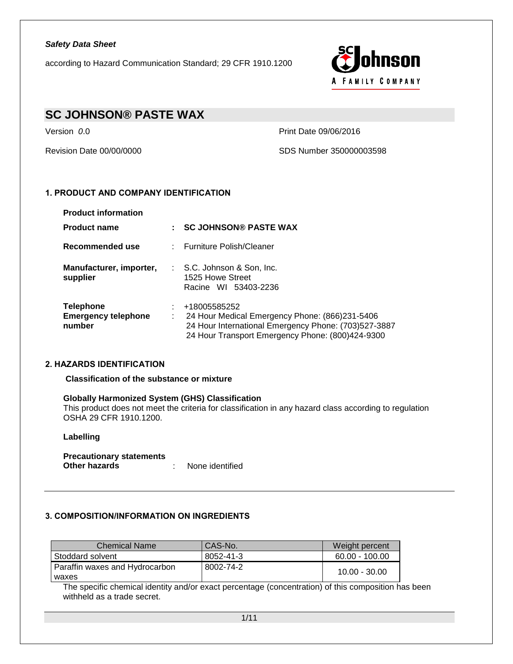according to Hazard Communication Standard; 29 CFR 1910.1200



# **SC JOHNSON® PASTE WAX**

Version *0*.0 Print Date 09/06/2016

Revision Date 00/00/0000 SDS Number 350000003598

## **1. PRODUCT AND COMPANY IDENTIFICATION**

| <b>Product information</b>                               |                                                                                                                                                                            |
|----------------------------------------------------------|----------------------------------------------------------------------------------------------------------------------------------------------------------------------------|
| <b>Product name</b>                                      | <b>SC JOHNSON® PASTE WAX</b>                                                                                                                                               |
| Recommended use                                          | : Furniture Polish/Cleaner                                                                                                                                                 |
| Manufacturer, importer,<br>supplier                      | : S.C. Johnson & Son, Inc.<br>1525 Howe Street<br>Racine WI 53403-2236                                                                                                     |
| <b>Telephone</b><br><b>Emergency telephone</b><br>number | +18005585252<br>24 Hour Medical Emergency Phone: (866)231-5406<br>24 Hour International Emergency Phone: (703)527-3887<br>24 Hour Transport Emergency Phone: (800)424-9300 |

### **2. HAZARDS IDENTIFICATION**

**Classification of the substance or mixture**

#### **Globally Harmonized System (GHS) Classification**

This product does not meet the criteria for classification in any hazard class according to regulation OSHA 29 CFR 1910.1200.

#### **Labelling**

**Precautionary statements Other hazards** : None identified

### **3. COMPOSITION/INFORMATION ON INGREDIENTS**

| <b>Chemical Name</b>           | CAS-No.   | Weight percent   |
|--------------------------------|-----------|------------------|
| Stoddard solvent               | 8052-41-3 | $60.00 - 100.00$ |
| Paraffin waxes and Hydrocarbon | 8002-74-2 | $10.00 - 30.00$  |
| waxes                          |           |                  |

The specific chemical identity and/or exact percentage (concentration) of this composition has been withheld as a trade secret.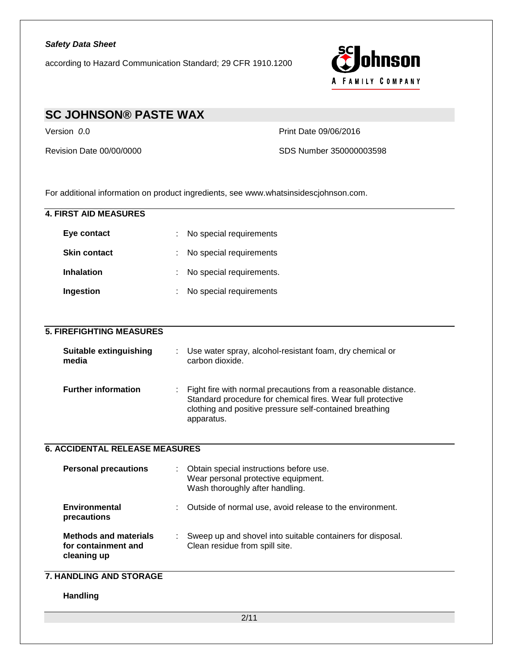

# **SC JOHNSON® PASTE WAX**

Version *0*.0 Print Date 09/06/2016

Revision Date 00/00/0000 SDS Number 350000003598

For additional information on product ingredients, see www.whatsinsidescjohnson.com.

| <b>4. FIRST AID MEASURES</b>                                       |                                                                                                                                                                                                        |
|--------------------------------------------------------------------|--------------------------------------------------------------------------------------------------------------------------------------------------------------------------------------------------------|
| Eye contact                                                        | No special requirements                                                                                                                                                                                |
| <b>Skin contact</b>                                                | No special requirements                                                                                                                                                                                |
| <b>Inhalation</b>                                                  | No special requirements.                                                                                                                                                                               |
| Ingestion                                                          | No special requirements                                                                                                                                                                                |
|                                                                    |                                                                                                                                                                                                        |
| <b>5. FIREFIGHTING MEASURES</b>                                    |                                                                                                                                                                                                        |
| Suitable extinguishing<br>media                                    | Use water spray, alcohol-resistant foam, dry chemical or<br>carbon dioxide.                                                                                                                            |
| <b>Further information</b>                                         | Fight fire with normal precautions from a reasonable distance.<br>Standard procedure for chemical fires. Wear full protective<br>clothing and positive pressure self-contained breathing<br>apparatus. |
| <b>6. ACCIDENTAL RELEASE MEASURES</b>                              |                                                                                                                                                                                                        |
| <b>Personal precautions</b>                                        | Obtain special instructions before use.<br>Wear personal protective equipment.<br>Wash thoroughly after handling.                                                                                      |
| <b>Environmental</b><br>precautions                                | Outside of normal use, avoid release to the environment.                                                                                                                                               |
| <b>Methods and materials</b><br>for containment and<br>cleaning up | Sweep up and shovel into suitable containers for disposal.<br>Clean residue from spill site.                                                                                                           |
| <b>7. HANDLING AND STORAGE</b>                                     |                                                                                                                                                                                                        |
| <b>Handling</b>                                                    |                                                                                                                                                                                                        |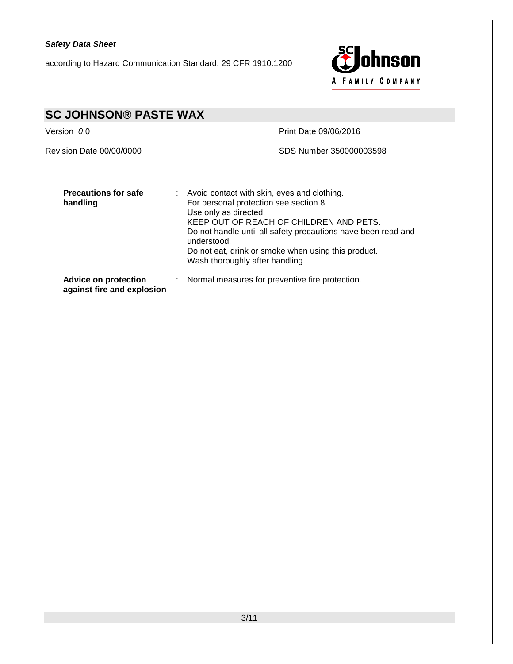according to Hazard Communication Standard; 29 CFR 1910.1200



| <b>SC JOHNSON® PASTE WAX</b>                              |                                                                                                                                                                                                                                                                                                                                       |
|-----------------------------------------------------------|---------------------------------------------------------------------------------------------------------------------------------------------------------------------------------------------------------------------------------------------------------------------------------------------------------------------------------------|
| Version 0.0                                               | Print Date 09/06/2016                                                                                                                                                                                                                                                                                                                 |
| Revision Date 00/00/0000                                  | SDS Number 350000003598                                                                                                                                                                                                                                                                                                               |
| <b>Precautions for safe</b><br>handling                   | : Avoid contact with skin, eyes and clothing.<br>For personal protection see section 8.<br>Use only as directed.<br>KEEP OUT OF REACH OF CHILDREN AND PETS.<br>Do not handle until all safety precautions have been read and<br>understood.<br>Do not eat, drink or smoke when using this product.<br>Wash thoroughly after handling. |
| <b>Advice on protection</b><br>against fire and explosion | : Normal measures for preventive fire protection.                                                                                                                                                                                                                                                                                     |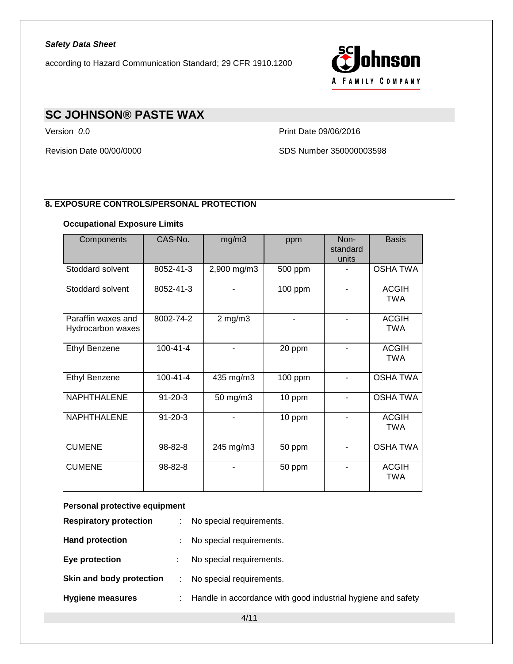according to Hazard Communication Standard; 29 CFR 1910.1200



# **SC JOHNSON® PASTE WAX**

Version *0*.0 Print Date 09/06/2016

Revision Date 00/00/0000 SDS Number 350000003598

## **8. EXPOSURE CONTROLS/PERSONAL PROTECTION**

## **Occupational Exposure Limits**

| Components                              | CAS-No.        | mg/m3        | ppm     | Non-<br>standard<br>units | <b>Basis</b>               |
|-----------------------------------------|----------------|--------------|---------|---------------------------|----------------------------|
| Stoddard solvent                        | 8052-41-3      | 2,900 mg/m3  | 500 ppm |                           | <b>OSHA TWA</b>            |
| Stoddard solvent                        | 8052-41-3      |              | 100 ppm | ۰                         | <b>ACGIH</b><br><b>TWA</b> |
| Paraffin waxes and<br>Hydrocarbon waxes | 8002-74-2      | $2$ mg/m $3$ |         |                           | <b>ACGIH</b><br><b>TWA</b> |
| <b>Ethyl Benzene</b>                    | $100 - 41 - 4$ |              | 20 ppm  |                           | <b>ACGIH</b><br><b>TWA</b> |
| <b>Ethyl Benzene</b>                    | $100 - 41 - 4$ | 435 mg/m3    | 100 ppm |                           | <b>OSHA TWA</b>            |
| <b>NAPHTHALENE</b>                      | $91 - 20 - 3$  | 50 mg/m3     | 10 ppm  |                           | <b>OSHA TWA</b>            |
| <b>NAPHTHALENE</b>                      | $91 - 20 - 3$  |              | 10 ppm  |                           | <b>ACGIH</b><br><b>TWA</b> |
| <b>CUMENE</b>                           | 98-82-8        | 245 mg/m3    | 50 ppm  |                           | <b>OSHA TWA</b>            |
| <b>CUMENE</b>                           | 98-82-8        |              | 50 ppm  |                           | <b>ACGIH</b><br><b>TWA</b> |

### **Personal protective equipment**

| <b>Respiratory protection</b> |     | No special requirements.                                     |
|-------------------------------|-----|--------------------------------------------------------------|
| <b>Hand protection</b>        |     | No special requirements.                                     |
| Eye protection                |     | No special requirements.                                     |
| Skin and body protection      |     | No special requirements.                                     |
| <b>Hygiene measures</b>       | t i | Handle in accordance with good industrial hygiene and safety |
|                               |     |                                                              |

4/11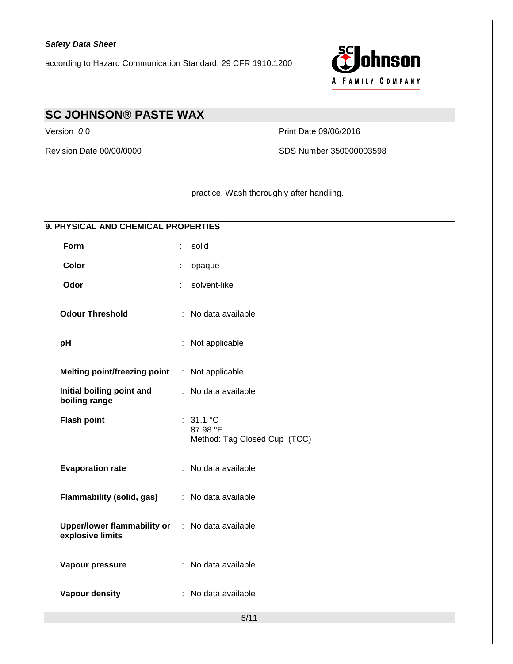according to Hazard Communication Standard; 29 CFR 1910.1200



# **SC JOHNSON® PASTE WAX**

Version *0*.0 Print Date 09/06/2016

Revision Date 00/00/0000 SDS Number 350000003598

practice. Wash thoroughly after handling.

## **9. PHYSICAL AND CHEMICAL PROPERTIES**

| Form                                                   |   | solid                                                 |
|--------------------------------------------------------|---|-------------------------------------------------------|
| Color                                                  |   | opaque                                                |
| Odor                                                   |   | solvent-like                                          |
| <b>Odour Threshold</b>                                 |   | : No data available                                   |
| рH                                                     | ÷ | Not applicable                                        |
| <b>Melting point/freezing point</b>                    |   | : Not applicable                                      |
| Initial boiling point and<br>boiling range             |   | : No data available                                   |
| <b>Flash point</b>                                     |   | : 31.1 °C<br>87.98 °F<br>Method: Tag Closed Cup (TCC) |
| <b>Evaporation rate</b>                                |   | : No data available                                   |
| Flammability (solid, gas)                              |   | : No data available                                   |
| <b>Upper/lower flammability or</b><br>explosive limits |   | : No data available                                   |
| Vapour pressure                                        |   | : No data available                                   |
| Vapour density                                         |   | : No data available                                   |
|                                                        |   | 5/11                                                  |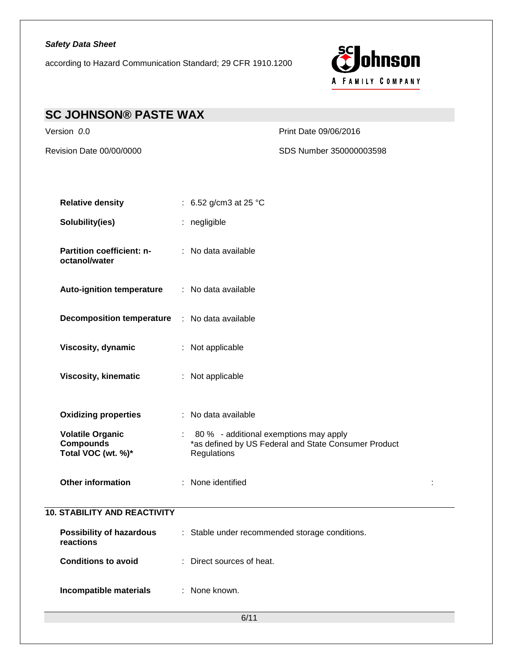according to Hazard Communication Standard; 29 CFR 1910.1200



| <b>SC JOHNSON® PASTE WAX</b>                                      |                                                                                                                 |  |
|-------------------------------------------------------------------|-----------------------------------------------------------------------------------------------------------------|--|
| Version 0.0                                                       | Print Date 09/06/2016                                                                                           |  |
| Revision Date 00/00/0000                                          | SDS Number 350000003598                                                                                         |  |
|                                                                   |                                                                                                                 |  |
| <b>Relative density</b>                                           | : 6.52 g/cm3 at 25 $^{\circ}$ C                                                                                 |  |
| Solubility(ies)                                                   | : negligible                                                                                                    |  |
| Partition coefficient: n-<br>octanol/water                        | : No data available                                                                                             |  |
| <b>Auto-ignition temperature</b>                                  | : No data available                                                                                             |  |
| <b>Decomposition temperature</b>                                  | : No data available                                                                                             |  |
| Viscosity, dynamic                                                | : Not applicable                                                                                                |  |
| <b>Viscosity, kinematic</b>                                       | : Not applicable                                                                                                |  |
| <b>Oxidizing properties</b>                                       | : No data available                                                                                             |  |
| <b>Volatile Organic</b><br><b>Compounds</b><br>Total VOC (wt. %)* | : 80 % - additional exemptions may apply<br>*as defined by US Federal and State Consumer Product<br>Regulations |  |
| Other information                                                 | : None identified<br>÷                                                                                          |  |
| <b>10. STABILITY AND REACTIVITY</b>                               |                                                                                                                 |  |
| <b>Possibility of hazardous</b><br>reactions                      | : Stable under recommended storage conditions.                                                                  |  |
| <b>Conditions to avoid</b>                                        | : Direct sources of heat.                                                                                       |  |
| Incompatible materials                                            | : None known.                                                                                                   |  |
|                                                                   | 6/11                                                                                                            |  |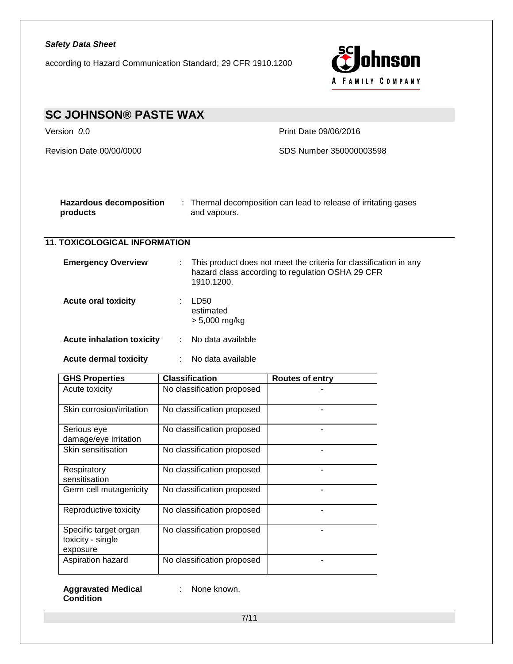according to Hazard Communication Standard; 29 CFR 1910.1200



| <b>SC JOHNSON® PASTE WAX</b>                                                       |                                      |                                                                                                                       |  |  |  |  |
|------------------------------------------------------------------------------------|--------------------------------------|-----------------------------------------------------------------------------------------------------------------------|--|--|--|--|
| Version 0.0                                                                        |                                      | Print Date 09/06/2016                                                                                                 |  |  |  |  |
| Revision Date 00/00/0000                                                           |                                      | SDS Number 350000003598                                                                                               |  |  |  |  |
| <b>Hazardous decomposition</b><br>products                                         | and vapours.                         | : Thermal decomposition can lead to release of irritating gases                                                       |  |  |  |  |
| <b>11. TOXICOLOGICAL INFORMATION</b>                                               |                                      |                                                                                                                       |  |  |  |  |
| <b>Emergency Overview</b>                                                          | ÷<br>1910.1200.                      | This product does not meet the criteria for classification in any<br>hazard class according to regulation OSHA 29 CFR |  |  |  |  |
| <b>Acute oral toxicity</b>                                                         | LD50<br>estimated<br>$> 5,000$ mg/kg |                                                                                                                       |  |  |  |  |
| <b>Acute inhalation toxicity</b>                                                   | No data available<br>÷               |                                                                                                                       |  |  |  |  |
| <b>Acute dermal toxicity</b><br>$\mathcal{I}^{\mathcal{I}}$ .<br>No data available |                                      |                                                                                                                       |  |  |  |  |
| <b>GHS Properties</b>                                                              | <b>Classification</b>                | <b>Routes of entry</b>                                                                                                |  |  |  |  |
| Acute toxicity                                                                     | No classification proposed           |                                                                                                                       |  |  |  |  |
| Skin corrosion/irritation                                                          | No classification proposed           |                                                                                                                       |  |  |  |  |
| Serious eye<br>damage/eye irritation                                               | No classification proposed           |                                                                                                                       |  |  |  |  |
| Skin sensitisation                                                                 | No classification proposed           | ÷.                                                                                                                    |  |  |  |  |
| Respiratory<br>sensitisation                                                       | No classification proposed           | $\overline{\phantom{0}}$                                                                                              |  |  |  |  |
| Germ cell mutagenicity                                                             | No classification proposed           |                                                                                                                       |  |  |  |  |
| Reproductive toxicity                                                              | No classification proposed           |                                                                                                                       |  |  |  |  |
| Specific target organ<br>toxicity - single<br>exposure                             | No classification proposed           |                                                                                                                       |  |  |  |  |
| Aspiration hazard                                                                  | No classification proposed           |                                                                                                                       |  |  |  |  |

**Aggravated Medical**  : None known.**Condition**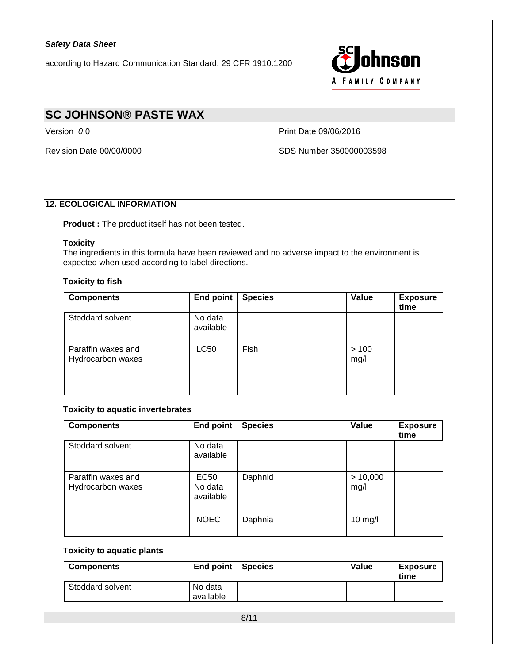

# **SC JOHNSON® PASTE WAX**

Version *0*.0 Print Date 09/06/2016

Revision Date 00/00/0000 SDS Number 350000003598

## **12. ECOLOGICAL INFORMATION**

**Product :** The product itself has not been tested.

### **Toxicity**

The ingredients in this formula have been reviewed and no adverse impact to the environment is expected when used according to label directions.

### **Toxicity to fish**

| <b>Components</b>                       | End point            | <b>Species</b> | Value         | <b>Exposure</b><br>time |
|-----------------------------------------|----------------------|----------------|---------------|-------------------------|
| Stoddard solvent                        | No data<br>available |                |               |                         |
| Paraffin waxes and<br>Hydrocarbon waxes | LC50                 | Fish           | > 100<br>mg/l |                         |

### **Toxicity to aquatic invertebrates**

| <b>Components</b>                       | <b>End point</b>                    | <b>Species</b> | Value            | <b>Exposure</b><br>time |
|-----------------------------------------|-------------------------------------|----------------|------------------|-------------------------|
| Stoddard solvent                        | No data<br>available                |                |                  |                         |
| Paraffin waxes and<br>Hydrocarbon waxes | <b>EC50</b><br>No data<br>available | Daphnid        | > 10,000<br>mg/l |                         |
|                                         | <b>NOEC</b>                         | Daphnia        | $10$ mg/l        |                         |

#### **Toxicity to aquatic plants**

| <b>Components</b> | End point $ $        | l Species | <b>Value</b> | Exposure<br>time |
|-------------------|----------------------|-----------|--------------|------------------|
| Stoddard solvent  | No data<br>available |           |              |                  |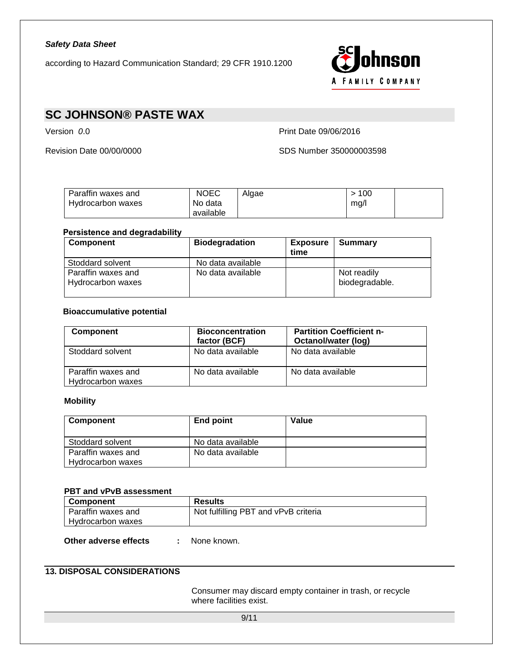

# **SC JOHNSON® PASTE WAX**

Version *0*.0 Print Date 09/06/2016

Revision Date 00/00/0000 SDS Number 350000003598

| Paraffin waxes and<br>Hydrocarbon waxes | <b>NOEC</b><br>No data | Alaae | 100<br>ma/ |  |
|-----------------------------------------|------------------------|-------|------------|--|
|                                         | available              |       |            |  |

### **Persistence and degradability**

| <b>Component</b>                        | <b>Biodegradation</b> | <b>Exposure</b><br>time | Summary                       |
|-----------------------------------------|-----------------------|-------------------------|-------------------------------|
| Stoddard solvent                        | No data available     |                         |                               |
| Paraffin waxes and<br>Hydrocarbon waxes | No data available     |                         | Not readily<br>biodegradable. |

## **Bioaccumulative potential**

| <b>Component</b>                        | <b>Bioconcentration</b><br>factor (BCF) | <b>Partition Coefficient n-</b><br>Octanol/water (log) |
|-----------------------------------------|-----------------------------------------|--------------------------------------------------------|
| Stoddard solvent                        | No data available                       | No data available                                      |
| Paraffin waxes and<br>Hydrocarbon waxes | No data available                       | No data available                                      |

### **Mobility**

| Component          | End point         | Value |
|--------------------|-------------------|-------|
|                    |                   |       |
| Stoddard solvent   | No data available |       |
| Paraffin waxes and | No data available |       |
| Hydrocarbon waxes  |                   |       |

#### **PBT and vPvB assessment**

| <b>Component</b>   | <b>Results</b>                       |
|--------------------|--------------------------------------|
| Paraffin waxes and | Not fulfilling PBT and vPvB criteria |
| Hydrocarbon waxes  |                                      |

**Other adverse effects :** None known.

## **13. DISPOSAL CONSIDERATIONS**

Consumer may discard empty container in trash, or recycle where facilities exist.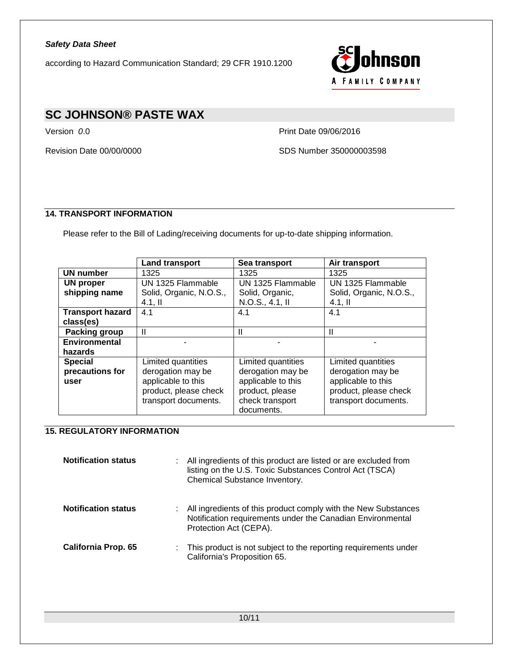

# **SC JOHNSON® PASTE WAX**

Version *0*.0 Print Date 09/06/2016

Revision Date 00/00/0000 SDS Number 350000003598

## **14. TRANSPORT INFORMATION**

Please refer to the Bill of Lading/receiving documents for up-to-date shipping information.

|                         | <b>Land transport</b>   | Sea transport      | Air transport           |
|-------------------------|-------------------------|--------------------|-------------------------|
| <b>UN</b> number        | 1325                    | 1325               | 1325                    |
| <b>UN proper</b>        | UN 1325 Flammable       | UN 1325 Flammable  | UN 1325 Flammable       |
| shipping name           | Solid, Organic, N.O.S., | Solid, Organic,    | Solid, Organic, N.O.S., |
|                         | $4.1,$ II               | N.O.S., 4.1, II    | $4.1,$ II               |
| <b>Transport hazard</b> | 4.1                     | 4.1                | 4.1                     |
| class(es)               |                         |                    |                         |
| <b>Packing group</b>    | $\mathbf{I}$            | Ш                  | Ш                       |
| <b>Environmental</b>    |                         |                    |                         |
| hazards                 |                         |                    |                         |
| <b>Special</b>          | Limited quantities      | Limited quantities | Limited quantities      |
| precautions for         | derogation may be       | derogation may be  | derogation may be       |
| user                    | applicable to this      | applicable to this | applicable to this      |
|                         | product, please check   | product, please    | product, please check   |
|                         | transport documents.    | check transport    | transport documents.    |
|                         |                         | documents.         |                         |

## **15. REGULATORY INFORMATION**

| <b>Notification status</b> |    | All ingredients of this product are listed or are excluded from<br>listing on the U.S. Toxic Substances Control Act (TSCA)<br>Chemical Substance Inventory. |
|----------------------------|----|-------------------------------------------------------------------------------------------------------------------------------------------------------------|
| <b>Notification status</b> | ÷. | All ingredients of this product comply with the New Substances<br>Notification requirements under the Canadian Environmental<br>Protection Act (CEPA).      |
| <b>California Prop. 65</b> |    | : This product is not subject to the reporting requirements under<br>California's Proposition 65.                                                           |